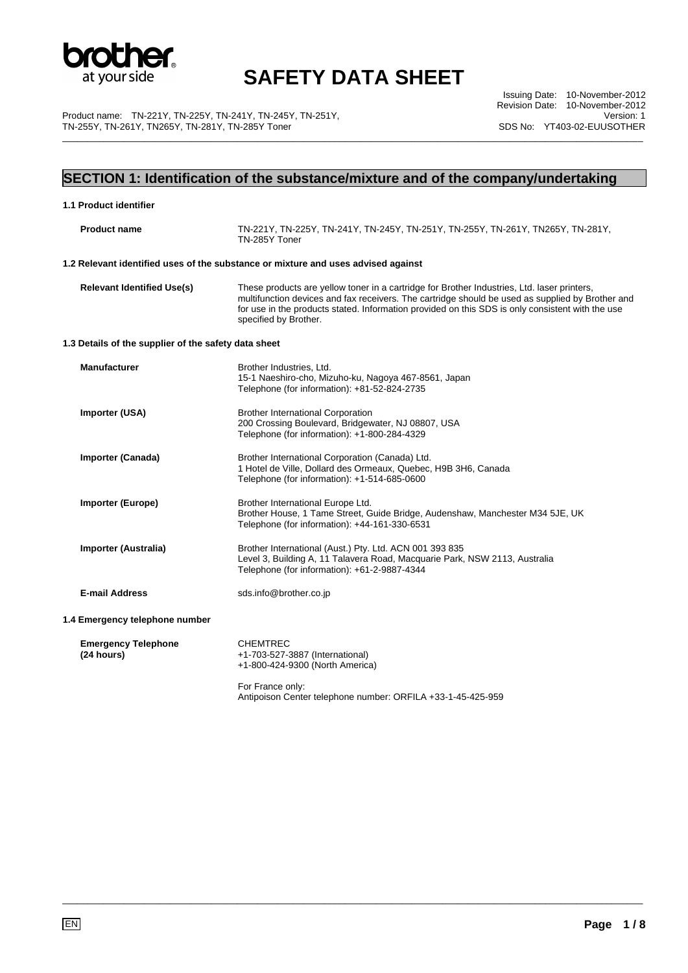

Product name: TN-221Y, TN-225Y, TN-241Y, TN-245Y, TN-251Y, TN-255Y, TN-261Y, TN265Y, TN-281Y, TN-285Y Toner

Issuing Date: 10-November-2012 Revision Date: 10-November-2012 Version: 1 SDS No: YT403-02-EUUSOTHER \_\_\_\_\_\_\_\_\_\_\_\_\_\_\_\_\_\_\_\_\_\_\_\_\_\_\_\_\_\_\_\_\_\_\_\_\_\_\_\_\_\_\_\_\_\_\_\_\_\_\_\_\_\_\_\_\_\_\_\_\_\_\_\_\_\_\_\_\_\_\_\_\_\_\_\_\_\_\_\_\_\_\_\_\_\_\_\_\_\_\_\_\_\_\_\_\_\_\_\_\_\_\_\_\_\_\_\_\_\_\_\_\_

### **SECTION 1: Identification of the substance/mixture and of the company/undertaking**

| 1.1 Product identifier                               |                                                                                                                                                                                                                                                                                                                              |
|------------------------------------------------------|------------------------------------------------------------------------------------------------------------------------------------------------------------------------------------------------------------------------------------------------------------------------------------------------------------------------------|
| <b>Product name</b>                                  | TN-221Y, TN-225Y, TN-241Y, TN-245Y, TN-251Y, TN-255Y, TN-261Y, TN265Y, TN-281Y,<br>TN-285Y Toner                                                                                                                                                                                                                             |
|                                                      | 1.2 Relevant identified uses of the substance or mixture and uses advised against                                                                                                                                                                                                                                            |
| <b>Relevant Identified Use(s)</b>                    | These products are yellow toner in a cartridge for Brother Industries, Ltd. laser printers,<br>multifunction devices and fax receivers. The cartridge should be used as supplied by Brother and<br>for use in the products stated. Information provided on this SDS is only consistent with the use<br>specified by Brother. |
| 1.3 Details of the supplier of the safety data sheet |                                                                                                                                                                                                                                                                                                                              |
| <b>Manufacturer</b>                                  | Brother Industries, Ltd.<br>15-1 Naeshiro-cho, Mizuho-ku, Nagoya 467-8561, Japan<br>Telephone (for information): +81-52-824-2735                                                                                                                                                                                             |
| Importer (USA)                                       | <b>Brother International Corporation</b><br>200 Crossing Boulevard, Bridgewater, NJ 08807, USA<br>Telephone (for information): +1-800-284-4329                                                                                                                                                                               |
| Importer (Canada)                                    | Brother International Corporation (Canada) Ltd.<br>1 Hotel de Ville, Dollard des Ormeaux, Quebec, H9B 3H6, Canada<br>Telephone (for information): +1-514-685-0600                                                                                                                                                            |
| <b>Importer (Europe)</b>                             | Brother International Europe Ltd.<br>Brother House, 1 Tame Street, Guide Bridge, Audenshaw, Manchester M34 5JE, UK<br>Telephone (for information): +44-161-330-6531                                                                                                                                                          |
| Importer (Australia)                                 | Brother International (Aust.) Pty. Ltd. ACN 001 393 835<br>Level 3, Building A, 11 Talavera Road, Macquarie Park, NSW 2113, Australia<br>Telephone (for information): +61-2-9887-4344                                                                                                                                        |
| <b>E-mail Address</b>                                | sds.info@brother.co.jp                                                                                                                                                                                                                                                                                                       |
| 1.4 Emergency telephone number                       |                                                                                                                                                                                                                                                                                                                              |
| <b>Emergency Telephone</b><br>(24 hours)             | <b>CHEMTREC</b><br>+1-703-527-3887 (International)<br>+1-800-424-9300 (North America)                                                                                                                                                                                                                                        |
|                                                      | For France only:<br>Antipoison Center telephone number: ORFILA +33-1-45-425-959                                                                                                                                                                                                                                              |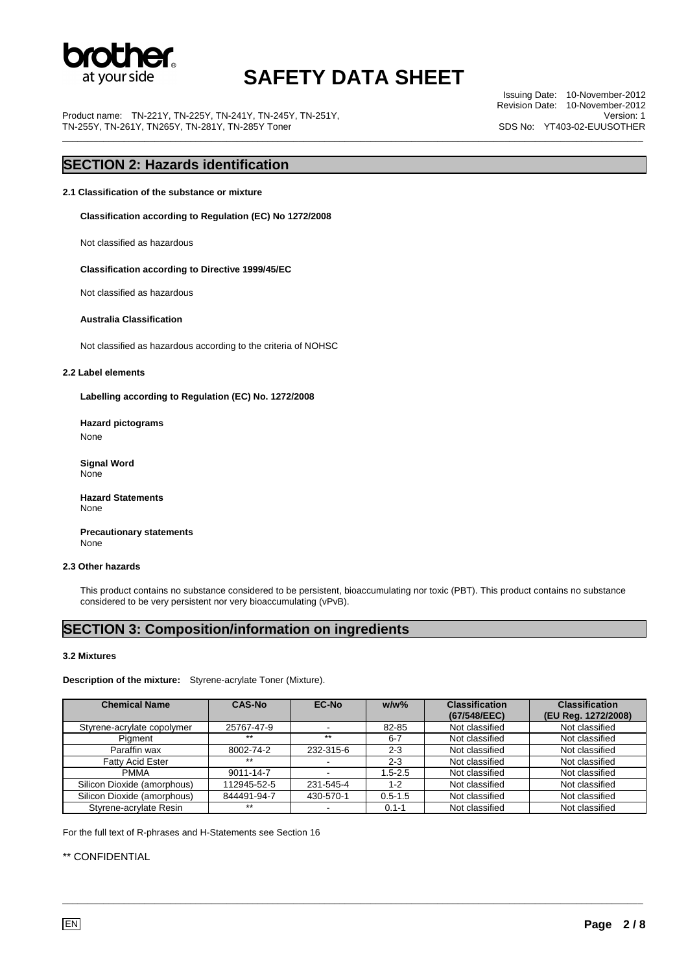

Product name: TN-221Y, TN-225Y, TN-241Y, TN-245Y, TN-251Y, TN-255Y, TN-261Y, TN265Y, TN-281Y, TN-285Y Toner

Issuing Date: 10-November-2012 Revision Date: 10-November-2012 Version: 1 SDS No: YT403-02-EUUSOTHER \_\_\_\_\_\_\_\_\_\_\_\_\_\_\_\_\_\_\_\_\_\_\_\_\_\_\_\_\_\_\_\_\_\_\_\_\_\_\_\_\_\_\_\_\_\_\_\_\_\_\_\_\_\_\_\_\_\_\_\_\_\_\_\_\_\_\_\_\_\_\_\_\_\_\_\_\_\_\_\_\_\_\_\_\_\_\_\_\_\_\_\_\_\_\_\_\_\_\_\_\_\_\_\_\_\_\_\_\_\_\_\_\_

### **SECTION 2: Hazards identification**

**2.1 Classification of the substance or mixture** 

**Classification according to Regulation (EC) No 1272/2008** 

Not classified as hazardous

 **Classification according to Directive 1999/45/EC** 

Not classified as hazardous

#### **Australia Classification**

Not classified as hazardous according to the criteria of NOHSC

#### **2.2 Label elements**

**Labelling according to Regulation (EC) No. 1272/2008** 

**Hazard pictograms**  None

 **Signal Word**  None

**Hazard Statements**  None

 **Precautionary statements**  None

#### **2.3 Other hazards**

This product contains no substance considered to be persistent, bioaccumulating nor toxic (PBT). This product contains no substance considered to be very persistent nor very bioaccumulating (vPvB).

### **SECTION 3: Composition/information on ingredients**

#### **3.2 Mixtures**

**Description of the mixture:** Styrene-acrylate Toner (Mixture).

| <b>Chemical Name</b>        | <b>CAS-No</b> | EC-No     | $w/w$ %     | <b>Classification</b><br>(67/548/EEC) | <b>Classification</b><br>(EU Reg. 1272/2008) |
|-----------------------------|---------------|-----------|-------------|---------------------------------------|----------------------------------------------|
| Styrene-acrylate copolymer  | 25767-47-9    |           | 82-85       | Not classified                        | Not classified                               |
| Pigment                     | $***$         | $***$     | $6 - 7$     | Not classified                        | Not classified                               |
| Paraffin wax                | 8002-74-2     | 232-315-6 | $2 - 3$     | Not classified                        | Not classified                               |
| <b>Fatty Acid Ester</b>     | $***$         |           | $2 - 3$     | Not classified                        | Not classified                               |
| <b>PMMA</b>                 | 9011-14-7     |           | $1.5 - 2.5$ | Not classified                        | Not classified                               |
| Silicon Dioxide (amorphous) | 112945-52-5   | 231-545-4 | $1 - 2$     | Not classified                        | Not classified                               |
| Silicon Dioxide (amorphous) | 844491-94-7   | 430-570-1 | $0.5 - 1.5$ | Not classified                        | Not classified                               |
| Styrene-acrylate Resin      | $***$         |           | $0.1 - 1$   | Not classified                        | Not classified                               |

\_\_\_\_\_\_\_\_\_\_\_\_\_\_\_\_\_\_\_\_\_\_\_\_\_\_\_\_\_\_\_\_\_\_\_\_\_\_\_\_\_\_\_\_\_\_\_\_\_\_\_\_\_\_\_\_\_\_\_\_\_\_\_\_\_\_\_\_\_\_\_\_\_\_\_\_\_\_\_\_\_\_\_\_\_\_\_\_\_\_\_\_\_\_\_\_\_\_\_\_\_\_\_\_\_\_\_\_\_\_\_\_\_

For the full text of R-phrases and H-Statements see Section 16

#### \*\* CONFIDENTIAL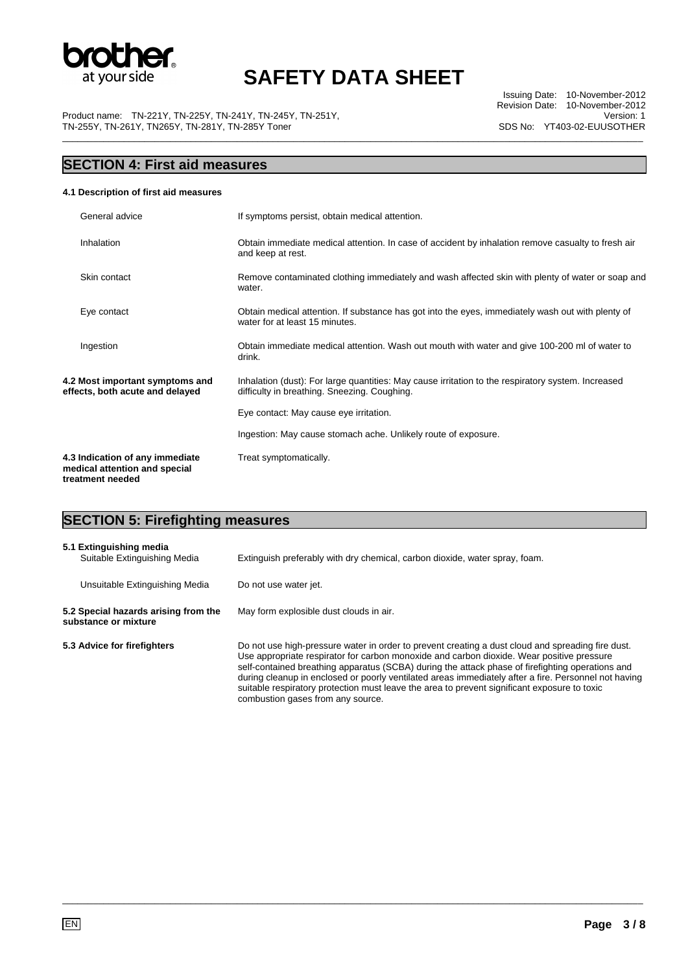

Product name: TN-221Y, TN-225Y, TN-241Y, TN-245Y, TN-251Y, TN-255Y, TN-261Y, TN265Y, TN-281Y, TN-285Y Toner

# **SECTION 4: First aid measures**

#### **4.1 Description of first aid measures**

| General advice                                                                       | If symptoms persist, obtain medical attention.                                                                                                     |
|--------------------------------------------------------------------------------------|----------------------------------------------------------------------------------------------------------------------------------------------------|
| Inhalation                                                                           | Obtain immediate medical attention. In case of accident by inhalation remove casualty to fresh air<br>and keep at rest.                            |
| Skin contact                                                                         | Remove contaminated clothing immediately and wash affected skin with plenty of water or soap and<br>water.                                         |
| Eye contact                                                                          | Obtain medical attention. If substance has got into the eyes, immediately wash out with plenty of<br>water for at least 15 minutes.                |
| Ingestion                                                                            | Obtain immediate medical attention. Wash out mouth with water and give 100-200 ml of water to<br>drink.                                            |
| 4.2 Most important symptoms and<br>effects, both acute and delayed                   | Inhalation (dust): For large quantities: May cause irritation to the respiratory system. Increased<br>difficulty in breathing. Sneezing. Coughing. |
|                                                                                      | Eye contact: May cause eye irritation.                                                                                                             |
|                                                                                      | Ingestion: May cause stomach ache. Unlikely route of exposure.                                                                                     |
| 4.3 Indication of any immediate<br>medical attention and special<br>treatment needed | Treat symptomatically.                                                                                                                             |

# **SECTION 5: Firefighting measures**

| 5.1 Extinguishing media<br>Suitable Extinguishing Media      | Extinguish preferably with dry chemical, carbon dioxide, water spray, foam.                                                                                                                                                                                                                                                                                                                                                                                                                                                                     |
|--------------------------------------------------------------|-------------------------------------------------------------------------------------------------------------------------------------------------------------------------------------------------------------------------------------------------------------------------------------------------------------------------------------------------------------------------------------------------------------------------------------------------------------------------------------------------------------------------------------------------|
| Unsuitable Extinguishing Media                               | Do not use water jet.                                                                                                                                                                                                                                                                                                                                                                                                                                                                                                                           |
| 5.2 Special hazards arising from the<br>substance or mixture | May form explosible dust clouds in air.                                                                                                                                                                                                                                                                                                                                                                                                                                                                                                         |
| 5.3 Advice for firefighters                                  | Do not use high-pressure water in order to prevent creating a dust cloud and spreading fire dust.<br>Use appropriate respirator for carbon monoxide and carbon dioxide. Wear positive pressure<br>self-contained breathing apparatus (SCBA) during the attack phase of firefighting operations and<br>during cleanup in enclosed or poorly ventilated areas immediately after a fire. Personnel not having<br>suitable respiratory protection must leave the area to prevent significant exposure to toxic<br>combustion gases from any source. |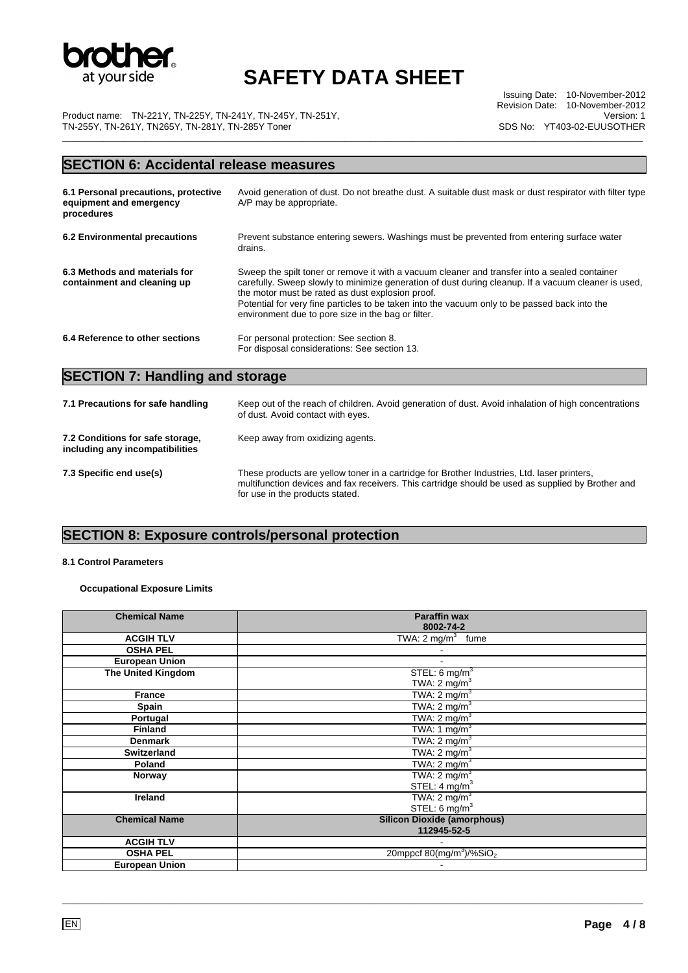

Issuing Date: 10-November-2012 Revision Date: 10-November-2012 Version: 1 SDS No: YT403-02-EUUSOTHER

Product name: TN-221Y, TN-225Y, TN-241Y, TN-245Y, TN-251Y, TN-255Y, TN-261Y, TN265Y, TN-281Y, TN-285Y Toner \_\_\_\_\_\_\_\_\_\_\_\_\_\_\_\_\_\_\_\_\_\_\_\_\_\_\_\_\_\_\_\_\_\_\_\_\_\_\_\_\_\_\_\_\_\_\_\_\_\_\_\_\_\_\_\_\_\_\_\_\_\_\_\_\_\_\_\_\_\_\_\_\_\_\_\_\_\_\_\_\_\_\_\_\_\_\_\_\_\_\_\_\_\_\_\_\_\_\_\_\_\_\_\_\_\_\_\_\_\_\_\_\_

# **SECTION 6: Accidental release measures**

| 6.1 Personal precautions, protective<br>equipment and emergency<br>procedures | Avoid generation of dust. Do not breathe dust. A suitable dust mask or dust respirator with filter type<br>A/P may be appropriate.                                                                                                                                                                                                                                                                              |
|-------------------------------------------------------------------------------|-----------------------------------------------------------------------------------------------------------------------------------------------------------------------------------------------------------------------------------------------------------------------------------------------------------------------------------------------------------------------------------------------------------------|
| 6.2 Environmental precautions                                                 | Prevent substance entering sewers. Washings must be prevented from entering surface water<br>drains.                                                                                                                                                                                                                                                                                                            |
| 6.3 Methods and materials for<br>containment and cleaning up                  | Sweep the spilt toner or remove it with a vacuum cleaner and transfer into a sealed container<br>carefully. Sweep slowly to minimize generation of dust during cleanup. If a vacuum cleaner is used,<br>the motor must be rated as dust explosion proof.<br>Potential for very fine particles to be taken into the vacuum only to be passed back into the<br>environment due to pore size in the bag or filter. |
| 6.4 Reference to other sections                                               | For personal protection: See section 8.<br>For disposal considerations: See section 13.                                                                                                                                                                                                                                                                                                                         |

# **SECTION 7: Handling and storage**

| 7.1 Precautions for safe handling                                   | Keep out of the reach of children. Avoid generation of dust. Avoid inhalation of high concentrations<br>of dust. Avoid contact with eyes.                                                                                           |
|---------------------------------------------------------------------|-------------------------------------------------------------------------------------------------------------------------------------------------------------------------------------------------------------------------------------|
| 7.2 Conditions for safe storage,<br>including any incompatibilities | Keep away from oxidizing agents.                                                                                                                                                                                                    |
| 7.3 Specific end use(s)                                             | These products are yellow toner in a cartridge for Brother Industries, Ltd. laser printers,<br>multifunction devices and fax receivers. This cartridge should be used as supplied by Brother and<br>for use in the products stated. |

### **SECTION 8: Exposure controls/personal protection**

#### **8.1 Control Parameters**

### **Occupational Exposure Limits**

| <b>Chemical Name</b>      | <b>Paraffin wax</b><br>8002-74-2                          |
|---------------------------|-----------------------------------------------------------|
|                           |                                                           |
| <b>ACGIH TLV</b>          | TWA: $2 \text{ mg/m}^3$ fume                              |
| <b>OSHA PEL</b>           |                                                           |
| <b>European Union</b>     |                                                           |
| <b>The United Kingdom</b> | STEL: $6 \text{ mg/m}^3$                                  |
|                           | TWA: $2 \text{ mg/m}^3$                                   |
| <b>France</b>             | TWA: $2 \text{ mg/m}^3$                                   |
| Spain                     | TWA: $2 \text{ mg/m}^3$                                   |
| Portugal                  | TWA: $2 \text{ mg/m}^3$                                   |
| <b>Finland</b>            | TWA: $1 \text{ mg/m}^3$                                   |
| <b>Denmark</b>            | TWA: $2 \text{ mg/m}^3$                                   |
| <b>Switzerland</b>        | TWA: $2 \text{ mg/m}^3$                                   |
| Poland                    | TWA: $2 \text{ mg/m}^3$                                   |
| Norway                    | TWA: $2 \text{ mg/m}^3$                                   |
|                           | STEL: $4 \text{ mg/m}^3$                                  |
| <b>Ireland</b>            | TWA: $2 \text{ mg/m}^3$                                   |
|                           | STEL: $6 \text{ mg/m}^3$                                  |
| <b>Chemical Name</b>      | <b>Silicon Dioxide (amorphous)</b>                        |
|                           | 112945-52-5                                               |
| <b>ACGIH TLV</b>          |                                                           |
| <b>OSHA PEL</b>           | 20mppcf $80 \frac{\text{m}}{\text{s}}$ /%SiO <sub>2</sub> |
| <b>European Union</b>     |                                                           |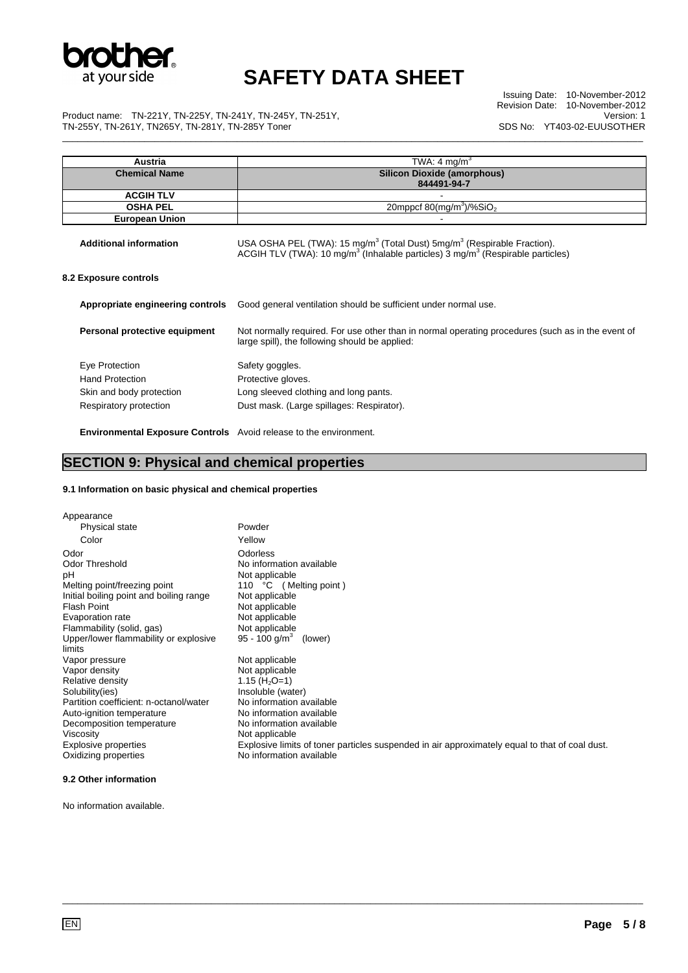

Issuing Date: 10-November-2012 Revision Date: 10-November-2012 Version: 1 SDS No: YT403-02-EUUSOTHER \_\_\_\_\_\_\_\_\_\_\_\_\_\_\_\_\_\_\_\_\_\_\_\_\_\_\_\_\_\_\_\_\_\_\_\_\_\_\_\_\_\_\_\_\_\_\_\_\_\_\_\_\_\_\_\_\_\_\_\_\_\_\_\_\_\_\_\_\_\_\_\_\_\_\_\_\_\_\_\_\_\_\_\_\_\_\_\_\_\_\_\_\_\_\_\_\_\_\_\_\_\_\_\_\_\_\_\_\_\_\_\_\_

Product name: TN-221Y, TN-225Y, TN-241Y, TN-245Y, TN-251Y, TN-255Y, TN-261Y, TN265Y, TN-281Y, TN-285Y Toner

| Austria                          | TWA: 4 mg/m <sup>3</sup>                                                                                                                                                                                  |  |
|----------------------------------|-----------------------------------------------------------------------------------------------------------------------------------------------------------------------------------------------------------|--|
| <b>Chemical Name</b>             | <b>Silicon Dioxide (amorphous)</b>                                                                                                                                                                        |  |
|                                  | 844491-94-7                                                                                                                                                                                               |  |
| <b>ACGIH TLV</b>                 |                                                                                                                                                                                                           |  |
| <b>OSHA PEL</b>                  | 20mppcf 80(mg/m <sup>3</sup> )/%SiO <sub>2</sub>                                                                                                                                                          |  |
| <b>European Union</b>            |                                                                                                                                                                                                           |  |
| <b>Additional information</b>    | USA OSHA PEL (TWA): 15 mg/m <sup>3</sup> (Total Dust) 5mg/m <sup>3</sup> (Respirable Fraction).<br>ACGIH TLV (TWA): 10 mg/m <sup>3</sup> (Inhalable particles) 3 mg/m <sup>3</sup> (Respirable particles) |  |
| 8.2 Exposure controls            |                                                                                                                                                                                                           |  |
| Appropriate engineering controls | Good general ventilation should be sufficient under normal use.                                                                                                                                           |  |
| Personal protective equipment    | Not normally required. For use other than in normal operating procedures (such as in the event of<br>large spill), the following should be applied:                                                       |  |
| Eye Protection                   | Safety goggles.                                                                                                                                                                                           |  |
| <b>Hand Protection</b>           | Protective gloves.                                                                                                                                                                                        |  |
| Skin and body protection         | Long sleeved clothing and long pants.                                                                                                                                                                     |  |
| Respiratory protection           | Dust mask. (Large spillages: Respirator).                                                                                                                                                                 |  |
|                                  |                                                                                                                                                                                                           |  |

 **Environmental Exposure Controls** Avoid release to the environment.

### **SECTION 9: Physical and chemical properties**

#### **9.1 Information on basic physical and chemical properties**

| Appearance                                      |                                                                                                |
|-------------------------------------------------|------------------------------------------------------------------------------------------------|
| Physical state                                  | Powder                                                                                         |
| Color                                           | Yellow                                                                                         |
| Odor                                            | Odorless                                                                                       |
| Odor Threshold                                  | No information available                                                                       |
| рH                                              | Not applicable                                                                                 |
| Melting point/freezing point                    | 110 °C (Melting point)                                                                         |
| Initial boiling point and boiling range         | Not applicable                                                                                 |
| Flash Point                                     | Not applicable                                                                                 |
| Evaporation rate                                | Not applicable                                                                                 |
| Flammability (solid, gas)                       | Not applicable                                                                                 |
| Upper/lower flammability or explosive<br>limits | 95 - 100 g/m <sup>3</sup><br>(lower)                                                           |
| Vapor pressure                                  | Not applicable                                                                                 |
| Vapor density                                   | Not applicable                                                                                 |
| Relative density                                | 1.15 ( $H_2O=1$ )                                                                              |
| Solubility(ies)                                 | Insoluble (water)                                                                              |
| Partition coefficient: n-octanol/water          | No information available                                                                       |
| Auto-ignition temperature                       | No information available                                                                       |
| Decomposition temperature                       | No information available                                                                       |
| Viscosity                                       | Not applicable                                                                                 |
| Explosive properties                            | Explosive limits of toner particles suspended in air approximately equal to that of coal dust. |
| Oxidizing properties                            | No information available                                                                       |

\_\_\_\_\_\_\_\_\_\_\_\_\_\_\_\_\_\_\_\_\_\_\_\_\_\_\_\_\_\_\_\_\_\_\_\_\_\_\_\_\_\_\_\_\_\_\_\_\_\_\_\_\_\_\_\_\_\_\_\_\_\_\_\_\_\_\_\_\_\_\_\_\_\_\_\_\_\_\_\_\_\_\_\_\_\_\_\_\_\_\_\_\_\_\_\_\_\_\_\_\_\_\_\_\_\_\_\_\_\_\_\_\_

#### **9.2 Other information**

No information available.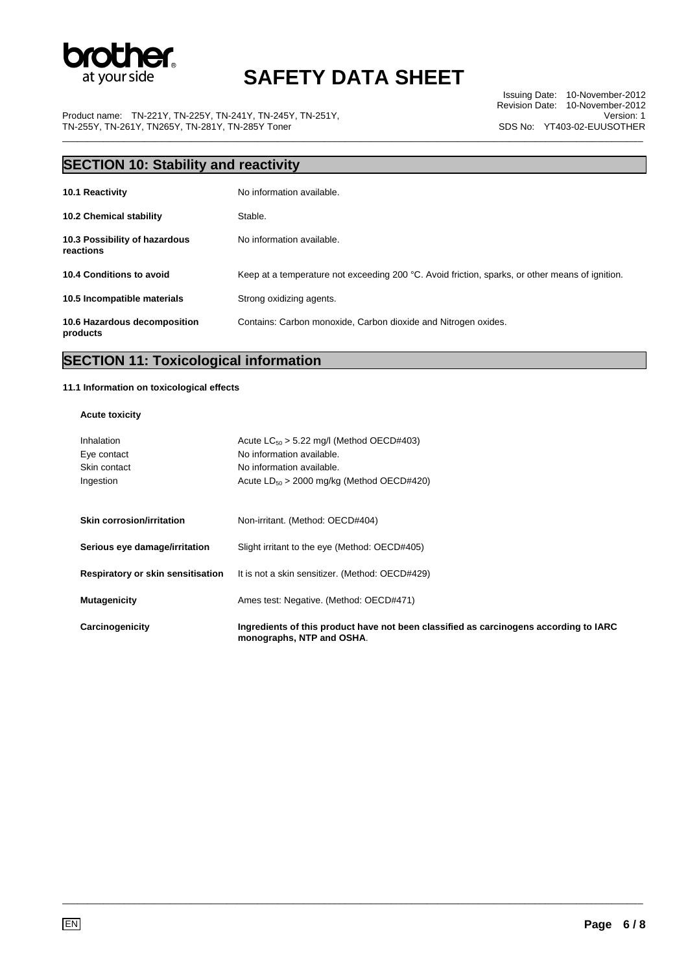

Product name: TN-221Y, TN-225Y, TN-241Y, TN-245Y, TN-251Y, TN-255Y, TN-261Y, TN265Y, TN-281Y, TN-285Y Toner \_\_\_\_\_\_\_\_\_\_\_\_\_\_\_\_\_\_\_\_\_\_\_\_\_\_\_\_\_\_\_\_\_\_\_\_\_\_\_\_\_\_\_\_\_\_\_\_\_\_\_\_\_\_\_\_\_\_\_\_\_\_\_\_\_\_\_\_\_\_\_\_\_\_\_\_\_\_\_\_\_\_\_\_\_\_\_\_\_\_\_\_\_\_\_\_\_\_\_\_\_\_\_\_\_\_\_\_\_\_\_\_\_

Issuing Date: 10-November-2012 Revision Date: 10-November-2012 Version: 1 SDS No: YT403-02-EUUSOTHER

| <b>SECTION 10: Stability and reactivity</b> |                                                                                                 |  |  |
|---------------------------------------------|-------------------------------------------------------------------------------------------------|--|--|
| 10.1 Reactivity                             | No information available.                                                                       |  |  |
| <b>10.2 Chemical stability</b>              | Stable.                                                                                         |  |  |
| 10.3 Possibility of hazardous<br>reactions  | No information available.                                                                       |  |  |
| 10.4 Conditions to avoid                    | Keep at a temperature not exceeding 200 °C. Avoid friction, sparks, or other means of ignition. |  |  |
| 10.5 Incompatible materials                 | Strong oxidizing agents.                                                                        |  |  |
| 10.6 Hazardous decomposition<br>products    | Contains: Carbon monoxide, Carbon dioxide and Nitrogen oxides.                                  |  |  |

## **SECTION 11: Toxicological information**

#### **11.1 Information on toxicological effects**

#### **Acute toxicity**

| Carcinogenicity                   | Ingredients of this product have not been classified as carcinogens according to IARC<br>monographs, NTP and OSHA. |
|-----------------------------------|--------------------------------------------------------------------------------------------------------------------|
| <b>Mutagenicity</b>               | Ames test: Negative. (Method: OECD#471)                                                                            |
| Respiratory or skin sensitisation | It is not a skin sensitizer. (Method: OECD#429)                                                                    |
| Serious eye damage/irritation     | Slight irritant to the eye (Method: OECD#405)                                                                      |
| Skin corrosion/irritation         | Non-irritant. (Method: OECD#404)                                                                                   |
| Ingestion                         | Acute $LD_{50} > 2000$ mg/kg (Method OECD#420)                                                                     |
| Skin contact                      | No information available.                                                                                          |
| Eye contact                       | No information available.                                                                                          |
| Inhalation                        | Acute $LC_{50}$ > 5.22 mg/l (Method OECD#403)                                                                      |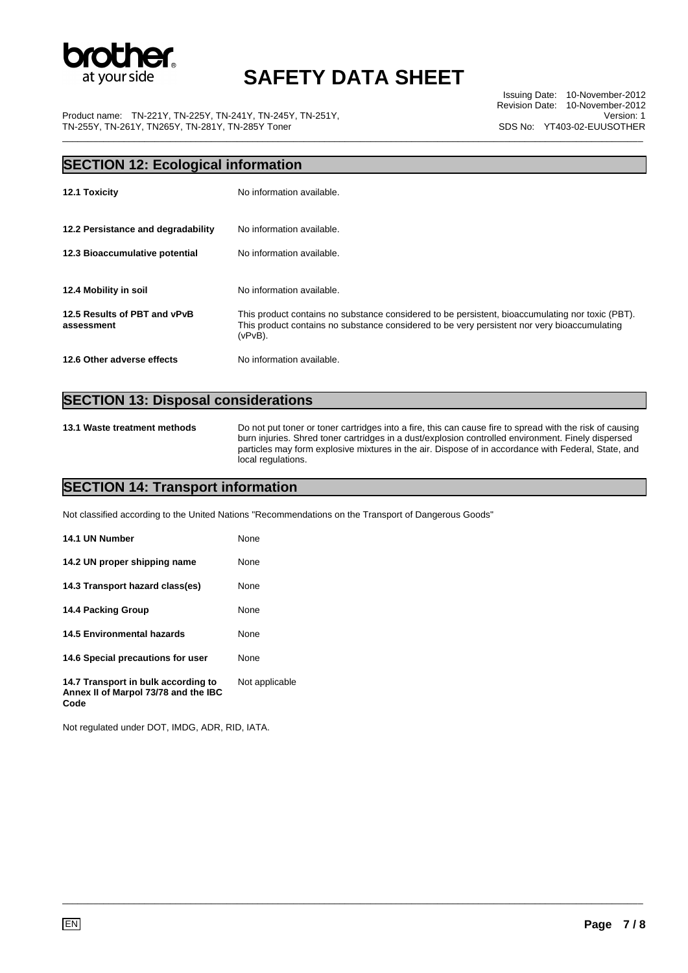

Product name: TN-221Y, TN-225Y, TN-241Y, TN-245Y, TN-251Y, TN-255Y, TN-261Y, TN265Y, TN-281Y, TN-285Y Toner

Issuing Date: 10-November-2012 Revision Date: 10-November-2012 Version: 1 SDS No: YT403-02-EUUSOTHER \_\_\_\_\_\_\_\_\_\_\_\_\_\_\_\_\_\_\_\_\_\_\_\_\_\_\_\_\_\_\_\_\_\_\_\_\_\_\_\_\_\_\_\_\_\_\_\_\_\_\_\_\_\_\_\_\_\_\_\_\_\_\_\_\_\_\_\_\_\_\_\_\_\_\_\_\_\_\_\_\_\_\_\_\_\_\_\_\_\_\_\_\_\_\_\_\_\_\_\_\_\_\_\_\_\_\_\_\_\_\_\_\_

# **SECTION 12: Ecological information 12.1 Toxicity 12.1 Toxicity No information available. 12.2 Persistance and degradability** No information available. **12.3 Bioaccumulative potential** No information available. **12.4 Mobility in soil No information available. 12.5 Results of PBT and vPvB assessment**  This product contains no substance considered to be persistent, bioaccumulating nor toxic (PBT). This product contains no substance considered to be very persistent nor very bioaccumulating (vPvB). **12.6 Other adverse effects** No information available.

\_\_\_\_\_\_\_\_\_\_\_\_\_\_\_\_\_\_\_\_\_\_\_\_\_\_\_\_\_\_\_\_\_\_\_\_\_\_\_\_\_\_\_\_\_\_\_\_\_\_\_\_\_\_\_\_\_\_\_\_\_\_\_\_\_\_\_\_\_\_\_\_\_\_\_\_\_\_\_\_\_\_\_\_\_\_\_\_\_\_\_\_\_\_\_\_\_\_\_\_\_\_\_\_\_\_\_\_\_\_\_\_\_

### **SECTION 13: Disposal considerations**

**13.1 Waste treatment methods** Do not put toner or toner cartridges into a fire, this can cause fire to spread with the risk of causing burn injuries. Shred toner cartridges in a dust/explosion controlled environment. Finely dispersed particles may form explosive mixtures in the air. Dispose of in accordance with Federal, State, and local regulations.

### **SECTION 14: Transport information**

Not classified according to the United Nations "Recommendations on the Transport of Dangerous Goods"

| 14.1 UN Number                                                              | None           |
|-----------------------------------------------------------------------------|----------------|
| 14.2 UN proper shipping name                                                | None           |
| 14.3 Transport hazard class(es)                                             | None           |
| 14.4 Packing Group                                                          | None           |
| 14.5 Environmental hazards                                                  | None           |
| 14.6 Special precautions for user                                           | None           |
| 14.7 Transport in bulk according to<br>Annex II of Marpol 73/78 and the IBC | Not applicable |

Not regulated under DOT, IMDG, ADR, RID, IATA.

**Code**